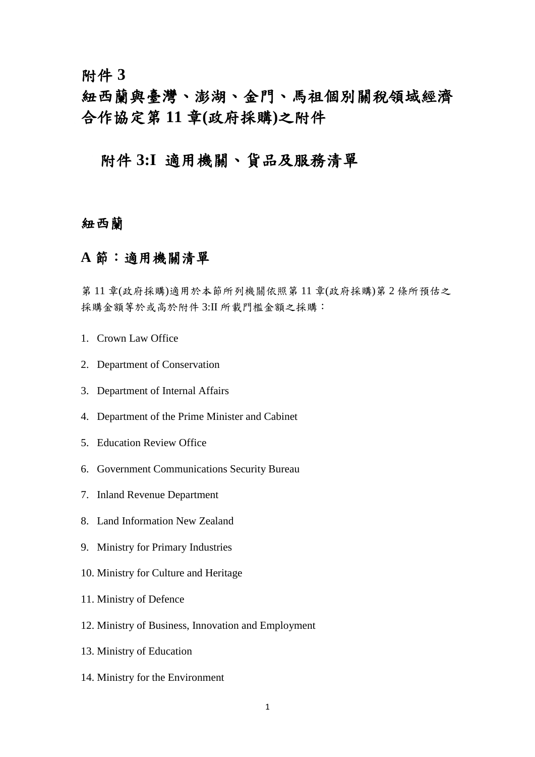附件 **3**

紐西蘭與臺灣、澎湖、金門、馬祖個別關稅領域經濟 合作協定第 **11** 章**(**政府採購**)**之附件

### 附件 **3:I** 適用機關、貨品及服務清單

### 紐西蘭

### **A** 節:適用機關清單

第 11 章(政府採購)適用於本節所列機關依照第 11 章(政府採購)第 2 條所預估之 採購金額等於或高於附件 3:II 所載門檻金額之採購:

- 1. Crown Law Office
- 2. Department of Conservation
- 3. Department of Internal Affairs
- 4. Department of the Prime Minister and Cabinet
- 5. Education Review Office
- 6. Government Communications Security Bureau
- 7. Inland Revenue Department
- 8. Land Information New Zealand
- 9. Ministry for Primary Industries
- 10. Ministry for Culture and Heritage
- 11. Ministry of Defence
- 12. Ministry of Business, Innovation and Employment
- 13. Ministry of Education
- 14. Ministry for the Environment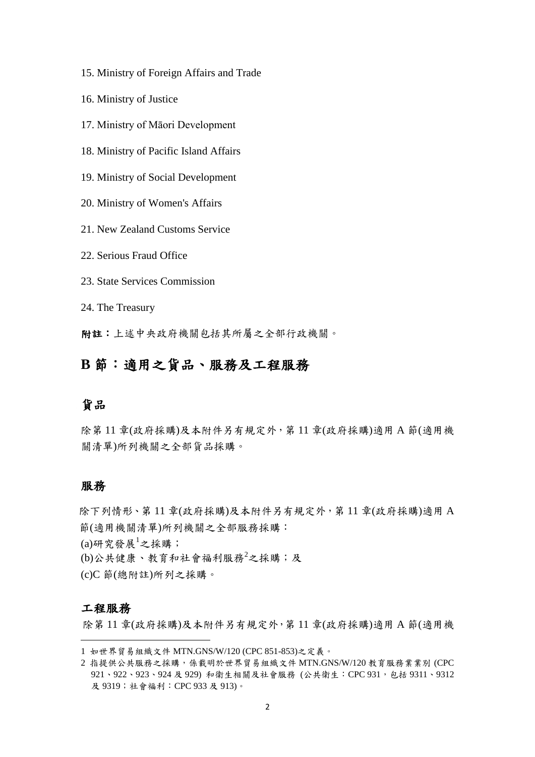- 15. Ministry of Foreign Affairs and Trade
- 16. Ministry of Justice
- 17. Ministry of Māori Development
- 18. Ministry of Pacific Island Affairs
- 19. Ministry of Social Development
- 20. Ministry of Women's Affairs
- 21. New Zealand Customs Service
- 22. Serious Fraud Office
- 23. State Services Commission
- 24. The Treasury

附註:上述中央政府機關包括其所屬之全部行政機關。

### **B** 節:適用之貨品、服務及工程服務

#### 貨品

除第 11 章(政府採購)及本附件另有規定外,第 11 章(政府採購)適用 A 節(適用機 關清單)所列機關之全部貨品採購。

#### 服務

除下列情形、第 11 章(政府採購)及本附件另有規定外,第 11 章(政府採購)適用 A 節(適用機關清單)所列機關之全部服務採購:  $(a)$ 研究發展 $^{1}$ 之採購; (b)公共健康、教育和社會福利服務<sup>2</sup>之採購;及 (c)C 節(總附註)所列之採購。

#### 工程服務

-

除第 11 章(政府採購)及本附件另有規定外,第 11 章(政府採購)適用 A 節(適用機

<sup>1</sup> 如世界貿易組織文件 MTN.GNS/W/120 (CPC 851-853)之定義。

<sup>2</sup> 指提供公共服務之採購,係載明於世界貿易組織文件 MTN.GNS/W/120 教育服務業業別 (CPC 921、922、923、924 及 929) 和衛生相關及社會服務 (公共衛生: CPC 931, 包括 9311、9312 及 9319;社會福利:CPC 933 及 913)。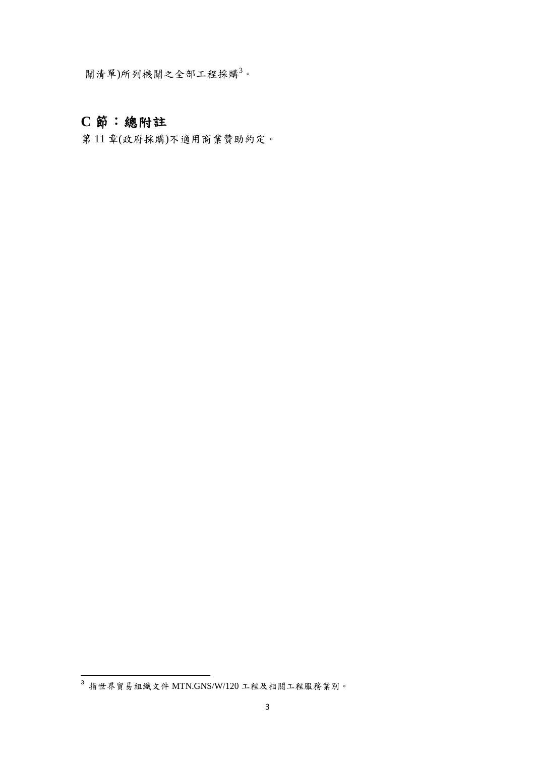關清單)所列機關之全部工程採購<sup>3</sup>。

# **C** 節:總附註

第 11 章(政府採購)不適用商業贊助約定。

-

 $^3$  指世界貿易組織文件 MTN.GNS/W/120 工程及相關工程服務業別。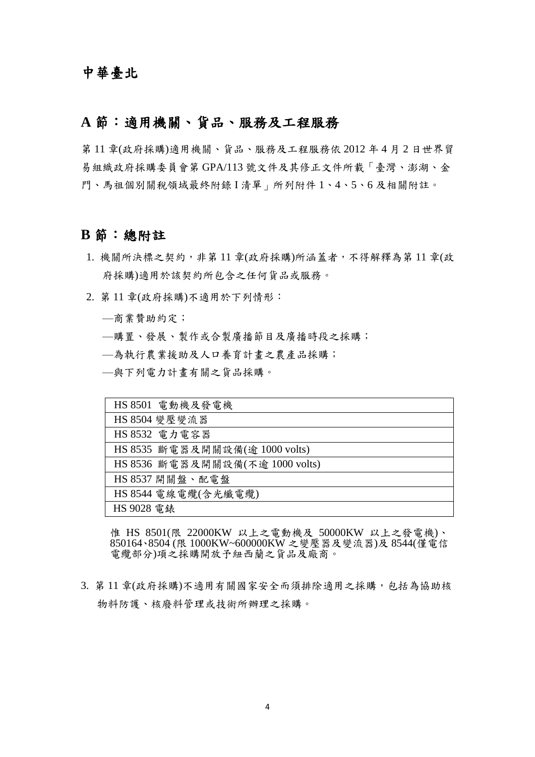### **A** 節:適用機關、貨品、服務及工程服務

第 11 章(政府採購)適用機關、貨品、服務及工程服務依 2012 年 4 月 2 日世界貿 易組織政府採購委員會第 GPA/113 號文件及其修正文件所載「臺灣、澎湖、金 門、馬祖個別關稅領域最終附錄 I 清單」所列附件 1、4、5、6 及相關附註。

#### **B** 節:總附註

- 1. 機關所決標之契約,非第11章(政府採購)所涵蓋者,不得解釋為第11章(政 府採購)適用於該契約所包含之任何貨品或服務。
- 2. 第 11 章(政府採購)不適用於下列情形:
	- —商業贊助約定;
	- —購置、發展、製作或合製廣播節目及廣播時段之採購;
	- —為執行農業援助及人口養育計畫之農產品採購;
	- —與下列電力計畫有關之貨品採購。

| HS 8501 電動機及發電機                 |
|---------------------------------|
| HS 8504 變壓變流器                   |
| HS 8532 電力電容器                   |
| HS 8535 斷電器及開關設備(逾 1000 volts)  |
| HS 8536 斷電器及開關設備(不逾 1000 volts) |
| HS 8537 開關盤、配電盤                 |
| HS 8544 電線電纜(含光纖電纜)             |
| HS 9028 電錶                      |

惟 HS 8501(限 22000KW 以上之電動機及 50000KW 以上之發電機)、 850164、8504 (限 1000KW~600000KW 之變壓器及變流器)及 8544(僅電信 電纜部分)項之採購開放予紐西蘭之貨品及廠商。

3. 第11章(政府採購)不適用有關國家安全而須排除適用之採購,包括為協助核 物料防護、核廢料管理或技術所辦理之採購。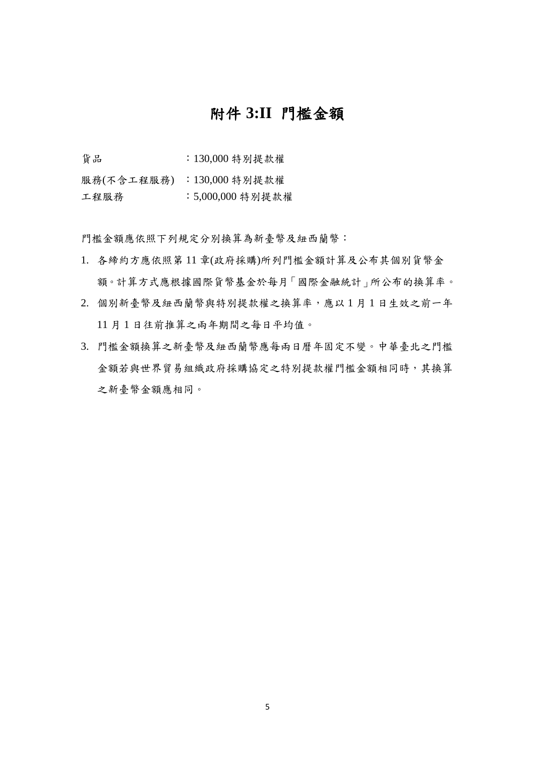### 附件 **3:II** 門檻金額

貨品 :130,000 特別提款權

服務(不含工程服務) :130,000 特別提款權

工程服務 :5,000,000 特別提款權

門檻金額應依照下列規定分別換算為新臺幣及紐西蘭幣:

- 1. 各締約方應依照第 11 章(政府採購)所列門檻金額計算及公布其個別貨幣金 額。計算方式應根據國際貨幣基金於每月「國際金融統計」所公布的換算率。
- 2. 個別新臺幣及紐西蘭幣與特別提款權之換算率,應以 1 月 1 日生效之前一年 11月1日往前推算之兩年期間之每日平均值。
- 3. 門檻金額換算之新臺幣及紐西蘭幣應每兩日曆年固定不變。中華臺北之門檻 金額若與世界貿易組織政府採購協定之特別提款權門檻金額相同時,其換算 之新臺幣金額應相同。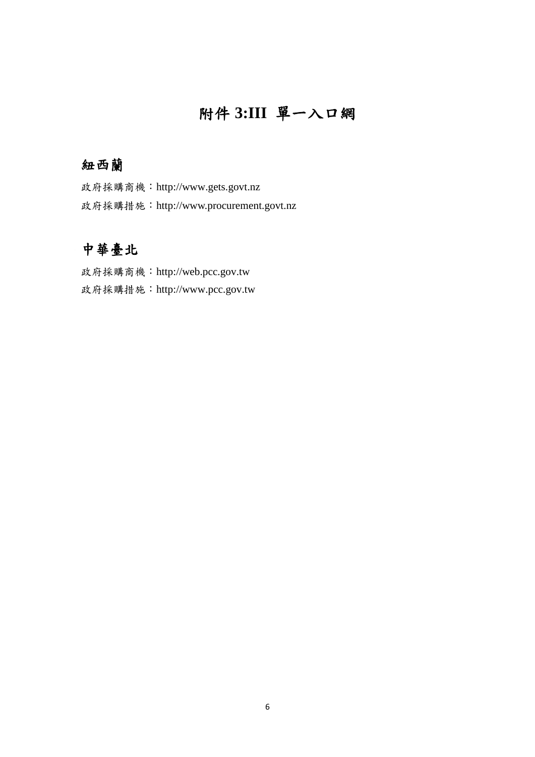# 附件 **3:III** 單一入口網

### 紐西蘭

政府採購商機:http://www.gets.govt.nz 政府採購措施:http://www.procurement.govt.nz

## 中華臺北

政府採購商機:http://web.pcc.gov.tw 政府採購措施:http://www.pcc.gov.tw